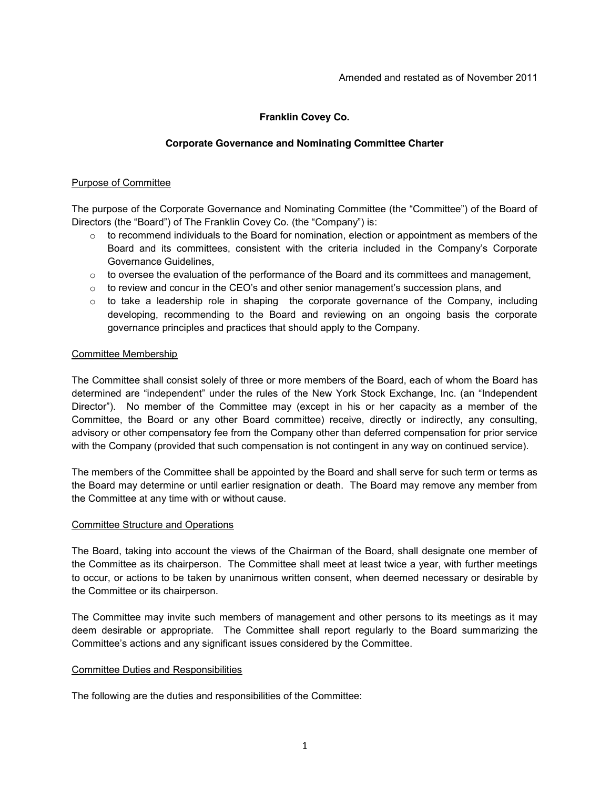# **Franklin Covey Co.**

## **Corporate Governance and Nominating Committee Charter**

## Purpose of Committee

The purpose of the Corporate Governance and Nominating Committee (the "Committee") of the Board of Directors (the "Board") of The Franklin Covey Co. (the "Company") is:

- $\circ$  to recommend individuals to the Board for nomination, election or appointment as members of the Board and its committees, consistent with the criteria included in the Company's Corporate Governance Guidelines,
- $\circ$  to oversee the evaluation of the performance of the Board and its committees and management,
- $\circ$  to review and concur in the CEO's and other senior management's succession plans, and
- $\circ$  to take a leadership role in shaping the corporate governance of the Company, including developing, recommending to the Board and reviewing on an ongoing basis the corporate governance principles and practices that should apply to the Company.

### Committee Membership

The Committee shall consist solely of three or more members of the Board, each of whom the Board has determined are "independent" under the rules of the New York Stock Exchange, Inc. (an "Independent Director"). No member of the Committee may (except in his or her capacity as a member of the Committee, the Board or any other Board committee) receive, directly or indirectly, any consulting, advisory or other compensatory fee from the Company other than deferred compensation for prior service with the Company (provided that such compensation is not contingent in any way on continued service).

The members of the Committee shall be appointed by the Board and shall serve for such term or terms as the Board may determine or until earlier resignation or death. The Board may remove any member from the Committee at any time with or without cause.

### Committee Structure and Operations

The Board, taking into account the views of the Chairman of the Board, shall designate one member of the Committee as its chairperson. The Committee shall meet at least twice a year, with further meetings to occur, or actions to be taken by unanimous written consent, when deemed necessary or desirable by the Committee or its chairperson.

The Committee may invite such members of management and other persons to its meetings as it may deem desirable or appropriate. The Committee shall report regularly to the Board summarizing the Committee's actions and any significant issues considered by the Committee.

### Committee Duties and Responsibilities

The following are the duties and responsibilities of the Committee: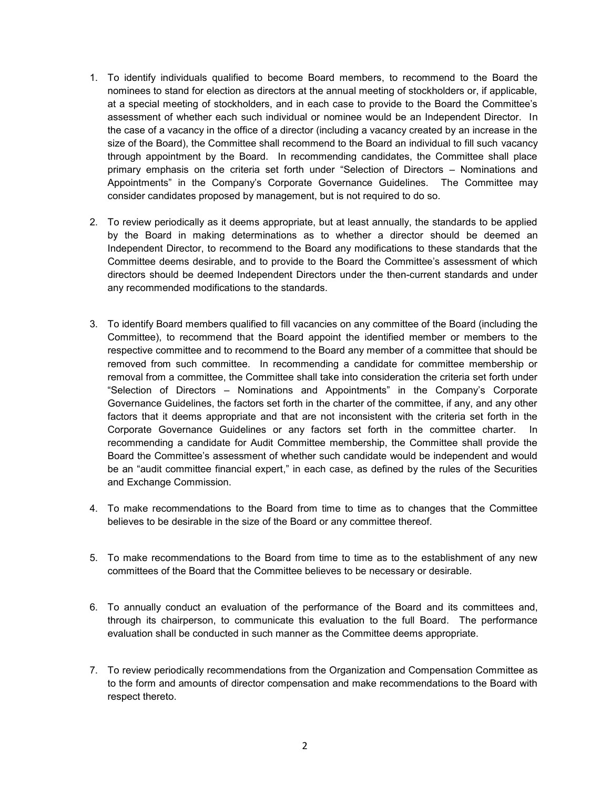- 1. To identify individuals qualified to become Board members, to recommend to the Board the nominees to stand for election as directors at the annual meeting of stockholders or, if applicable, at a special meeting of stockholders, and in each case to provide to the Board the Committee's assessment of whether each such individual or nominee would be an Independent Director. In the case of a vacancy in the office of a director (including a vacancy created by an increase in the size of the Board), the Committee shall recommend to the Board an individual to fill such vacancy through appointment by the Board. In recommending candidates, the Committee shall place primary emphasis on the criteria set forth under "Selection of Directors – Nominations and Appointments" in the Company's Corporate Governance Guidelines. The Committee may consider candidates proposed by management, but is not required to do so.
- 2. To review periodically as it deems appropriate, but at least annually, the standards to be applied by the Board in making determinations as to whether a director should be deemed an Independent Director, to recommend to the Board any modifications to these standards that the Committee deems desirable, and to provide to the Board the Committee's assessment of which directors should be deemed Independent Directors under the then-current standards and under any recommended modifications to the standards.
- 3. To identify Board members qualified to fill vacancies on any committee of the Board (including the Committee), to recommend that the Board appoint the identified member or members to the respective committee and to recommend to the Board any member of a committee that should be removed from such committee. In recommending a candidate for committee membership or removal from a committee, the Committee shall take into consideration the criteria set forth under "Selection of Directors – Nominations and Appointments" in the Company's Corporate Governance Guidelines, the factors set forth in the charter of the committee, if any, and any other factors that it deems appropriate and that are not inconsistent with the criteria set forth in the Corporate Governance Guidelines or any factors set forth in the committee charter. In recommending a candidate for Audit Committee membership, the Committee shall provide the Board the Committee's assessment of whether such candidate would be independent and would be an "audit committee financial expert," in each case, as defined by the rules of the Securities and Exchange Commission.
- 4. To make recommendations to the Board from time to time as to changes that the Committee believes to be desirable in the size of the Board or any committee thereof.
- 5. To make recommendations to the Board from time to time as to the establishment of any new committees of the Board that the Committee believes to be necessary or desirable.
- 6. To annually conduct an evaluation of the performance of the Board and its committees and, through its chairperson, to communicate this evaluation to the full Board. The performance evaluation shall be conducted in such manner as the Committee deems appropriate.
- 7. To review periodically recommendations from the Organization and Compensation Committee as to the form and amounts of director compensation and make recommendations to the Board with respect thereto.